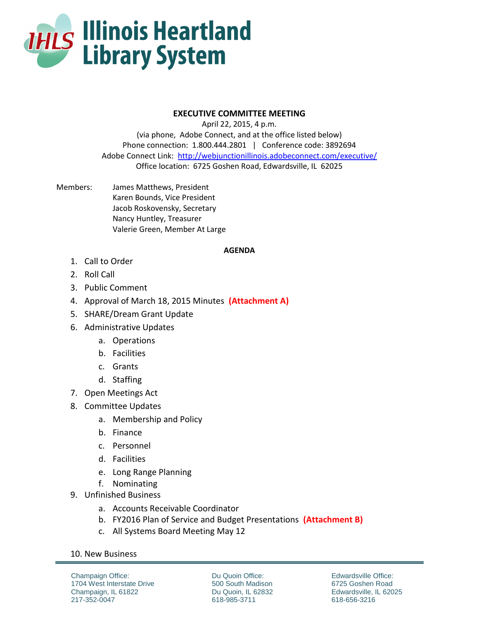

## **EXECUTIVE COMMITTEE MEETING**

April 22, 2015, 4 p.m. (via phone, Adobe Connect, and at the office listed below) Phone connection: 1.800.444.2801 | Conference code: 3892694 Adobe Connect Link: <http://webjunctionillinois.adobeconnect.com/executive/> Office location: 6725 Goshen Road, Edwardsville, IL 62025

Members: James Matthews, President Karen Bounds, Vice President Jacob Roskovensky, Secretary Nancy Huntley, Treasurer Valerie Green, Member At Large

## **AGENDA**

- 1. Call to Order
- 2. Roll Call
- 3. Public Comment
- 4. Approval of March 18, 2015 Minutes **(Attachment A)**
- 5. SHARE/Dream Grant Update
- 6. Administrative Updates
	- a. Operations
	- b. Facilities
	- c. Grants
	- d. Staffing
- 7. Open Meetings Act
- 8. Committee Updates
	- a. Membership and Policy
	- b. Finance
	- c. Personnel
	- d. Facilities
	- e. Long Range Planning
	- f. Nominating
- 9. Unfinished Business
	- a. Accounts Receivable Coordinator
	- b. FY2016 Plan of Service and Budget Presentations **(Attachment B)**
	- c. All Systems Board Meeting May 12

## 10. New Business

Champaign Office: 1704 West Interstate Drive Champaign, IL 61822 217-352-0047

Du Quoin Office: 500 South Madison Du Quoin, IL 62832 618-985-3711

Edwardsville Office: 6725 Goshen Road Edwardsville, IL 62025 618-656-3216